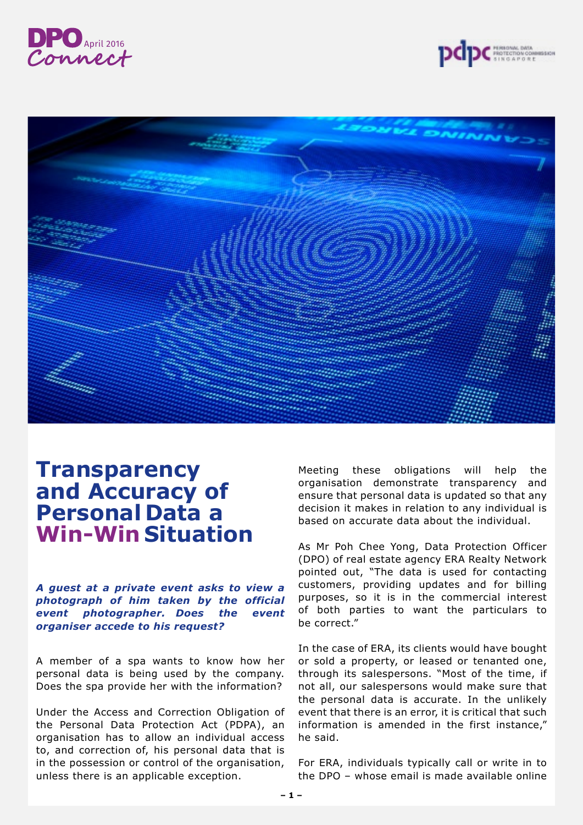



## **Transparency and Accuracy of Personal Data a Win-Win Situation**

*A guest at a private event asks to view a photograph of him taken by the official event photographer. Does the event organiser accede to his request?*

A member of a spa wants to know how her personal data is being used by the company. Does the spa provide her with the information?

Under the Access and Correction Obligation of the Personal Data Protection Act (PDPA), an organisation has to allow an individual access to, and correction of, his personal data that is in the possession or control of the organisation, unless there is an applicable exception.

Meeting these obligations will help the organisation demonstrate transparency and ensure that personal data is updated so that any decision it makes in relation to any individual is based on accurate data about the individual.

As Mr Poh Chee Yong, Data Protection Officer (DPO) of real estate agency ERA Realty Network pointed out, "The data is used for contacting customers, providing updates and for billing purposes, so it is in the commercial interest of both parties to want the particulars to be correct."

In the case of ERA, its clients would have bought or sold a property, or leased or tenanted one, through its salespersons. "Most of the time, if not all, our salespersons would make sure that the personal data is accurate. In the unlikely event that there is an error, it is critical that such information is amended in the first instance," he said.

For ERA, individuals typically call or write in to the DPO – whose email is made available online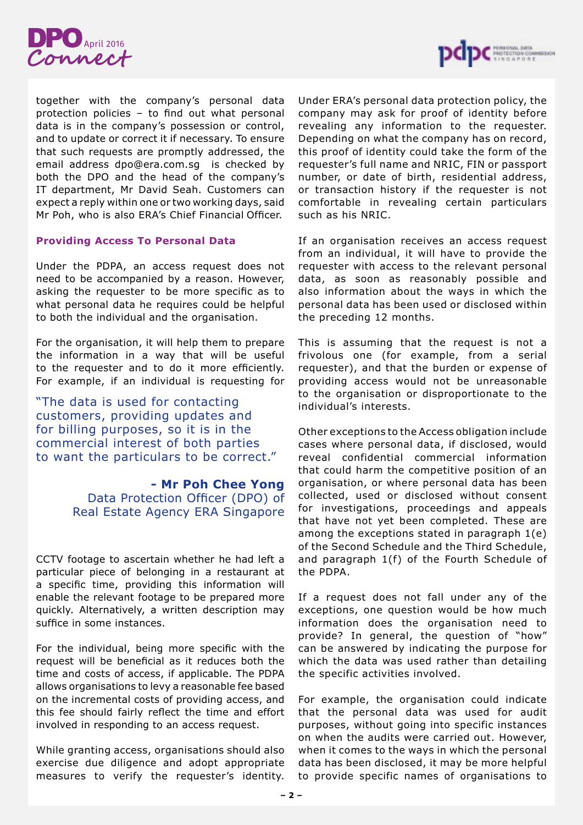



together with the company's personal data protection policies – to find out what personal data is in the company's possession or control, and to update or correct it if necessary. To ensure that such requests are promptly addressed, the email address dpo@era.com.sg is checked by both the DPO and the head of the company's IT department, Mr David Seah. Customers can expect a reply within one or two working days, said Mr Poh, who is also ERA's Chief Financial Officer.

## **Providing Access To Personal Data**

Under the PDPA, an access request does not need to be accompanied by a reason. However, asking the requester to be more specific as to what personal data he requires could be helpful to both the individual and the organisation.

For the organisation, it will help them to prepare the information in a way that will be useful to the requester and to do it more efficiently. For example, if an individual is requesting for

"The data is used for contacting customers, providing updates and for billing purposes, so it is in the commercial interest of both parties to want the particulars to be correct."

> **- Mr Poh Chee Yong** Data Protection Officer (DPO) of Real Estate Agency ERA Singapore

CCTV footage to ascertain whether he had left a particular piece of belonging in a restaurant at a specific time, providing this information will enable the relevant footage to be prepared more quickly. Alternatively, a written description may suffice in some instances.

For the individual, being more specific with the request will be beneficial as it reduces both the time and costs of access, if applicable. The PDPA allows organisations to levy a reasonable fee based on the incremental costs of providing access, and this fee should fairly reflect the time and effort involved in responding to an access request.

While granting access, organisations should also exercise due diligence and adopt appropriate measures to verify the requester's identity.

Under ERA's personal data protection policy, the company may ask for proof of identity before revealing any information to the requester. Depending on what the company has on record, this proof of identity could take the form of the requester's full name and NRIC, FIN or passport number, or date of birth, residential address, or transaction history if the requester is not comfortable in revealing certain particulars such as his NRIC.

If an organisation receives an access request from an individual, it will have to provide the requester with access to the relevant personal data, as soon as reasonably possible and also information about the ways in which the personal data has been used or disclosed within the preceding 12 months.

This is assuming that the request is not a frivolous one (for example, from a serial requester), and that the burden or expense of providing access would not be unreasonable to the organisation or disproportionate to the individual's interests.

Other exceptions to the Access obligation include cases where personal data, if disclosed, would reveal confidential commercial information that could harm the competitive position of an organisation, or where personal data has been collected, used or disclosed without consent for investigations, proceedings and appeals that have not yet been completed. These are among the exceptions stated in paragraph 1(e) of the Second Schedule and the Third Schedule, and paragraph 1(f) of the Fourth Schedule of the PDPA.

If a request does not fall under any of the exceptions, one question would be how much information does the organisation need to provide? In general, the question of "how" can be answered by indicating the purpose for which the data was used rather than detailing the specific activities involved.

For example, the organisation could indicate that the personal data was used for audit purposes, without going into specific instances on when the audits were carried out. However, when it comes to the ways in which the personal data has been disclosed, it may be more helpful to provide specific names of organisations to